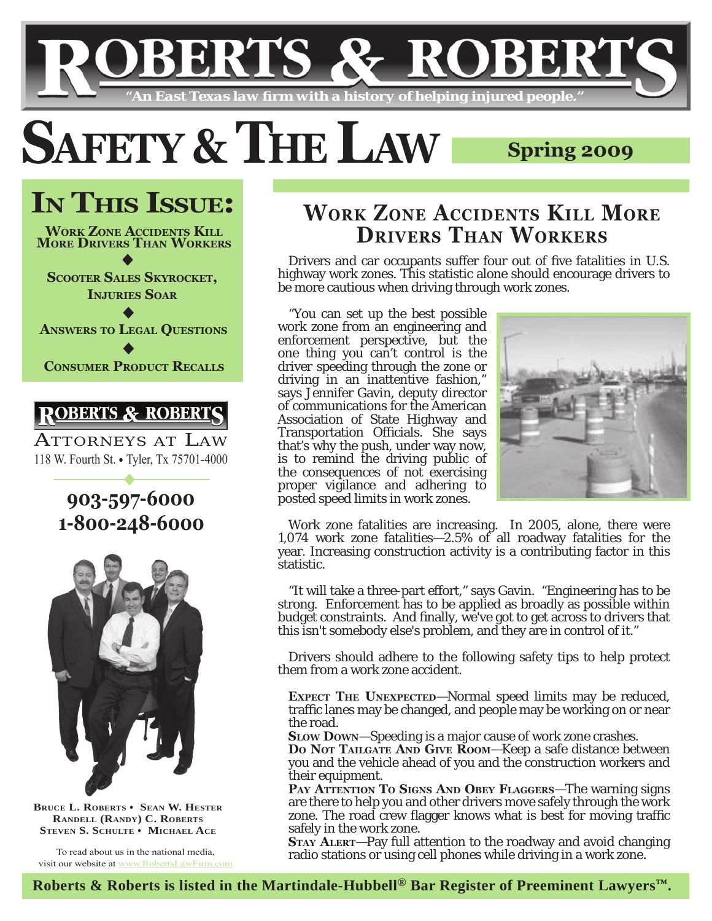# ER' *"An East Texas law fi rm with a history of helping injured people."*

# **SAFETY & THE LAW** Spring 2009

**IN THIS ISSUE:**  $\bullet$  $\bullet$  $\bullet$ **WORK ZONE ACCIDENTS KILL MORE DRIVERS THAN WORKERS SCOOTER SALES SKYROCKET, INJURIES SOAR ANSWERS TO LEGAL QUESTIONS**

**CONSUMER PRODUCT RECALLS**

# **ROBERTS &**

ATTORNEYS AT LAW 118 W. Fourth St. • Tyler, Tx 75701-4000

 $\overline{\ }$ 

# **903-597-6000 1-800-248-6000**



**BRUCE L. ROBERTS · SEAN W. HESTER RANDELL (RANDY) C. ROBERTS STEVEN S. SCHULTE** • **MICHAEL ACE** 

To read about us in the national media, visit our website at www.RobertsLawFirm.com

# **WORK ZONE ACCIDENTS KILL MORE DRIVERS THAN WORKERS**

Drivers and car occupants suffer four out of five fatalities in U.S. highway work zones. This statistic alone should encourage drivers to be more cautious when driving through work zones.

"You can set up the best possible work zone from an engineering and enforcement perspective, but the one thing you can't control is the driver speeding through the zone or driving in an inattentive fashion," says Jennifer Gavin, deputy director of communications for the American Association of State Highway and Transportation Officials. She says that's why the push, under way now, is to remind the driving public of the consequences of not exercising proper vigilance and adhering to posted speed limits in work zones.



Work zone fatalities are increasing. In 2005, alone, there were 1,074 work zone fatalities—2.5% of all roadway fatalities for the year. Increasing construction activity is a contributing factor in this statistic.

"It will take a three-part effort," says Gavin. "Engineering has to be strong. Enforcement has to be applied as broadly as possible within budget constraints. And finally, we've got to get across to drivers that this isn't somebody else's problem, and they are in control of it."

Drivers should adhere to the following safety tips to help protect them from a work zone accident.

**EXPECT THE UNEXPECTED**—Normal speed limits may be reduced, traffic lanes may be changed, and people may be working on or near the road.

**SLOW DOWN**—Speeding is a major cause of work zone crashes.

Do Not TAILGATE AND GIVE ROOM-Keep a safe distance between you and the vehicle ahead of you and the construction workers and their equipment.

**PAY ATTENTION TO SIGNS AND OBEY FLAGGERS**—The warning signs are there to help you and other drivers move safely through the work zone. The road crew flagger knows what is best for moving traffic safely in the work zone.

**STAY ALERT**—Pay full attention to the roadway and avoid changing radio stations or using cell phones while driving in a work zone.

**Roberts & Roberts is listed in the Martindale-Hubbell® Bar Register of Preeminent Lawyers™.**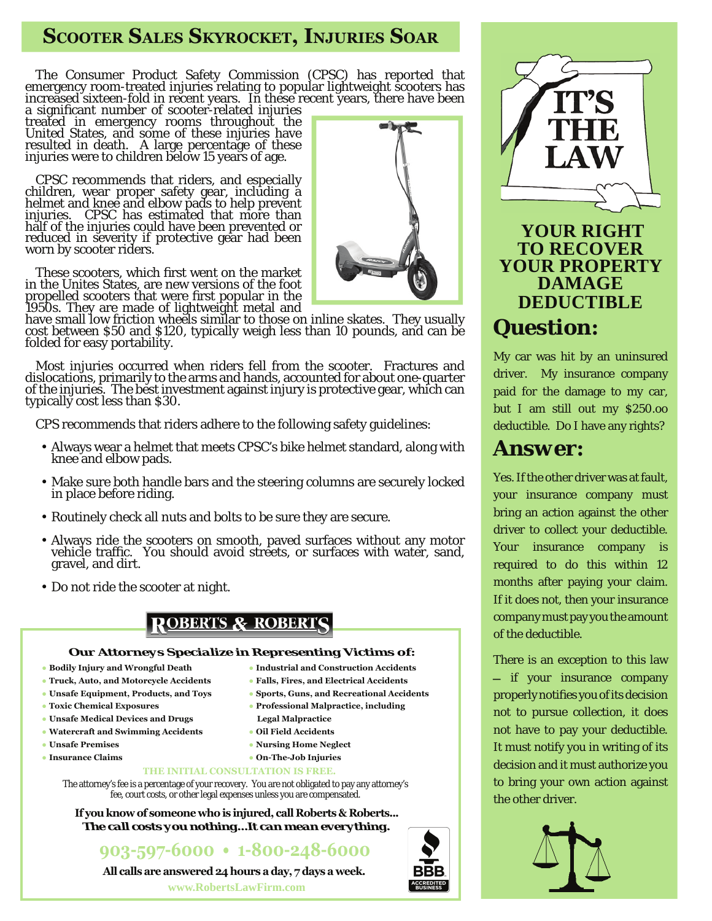# **SCOOTER SALES SKYROCKET, INJURIES SOAR**

The Consumer Product Safety Commission (CPSC) has reported that emergency room-treated injuries relating to popular lightweight scooters has increased sixteen-fold in recent years. In these recent years, there have been

a significant number of scooter-related injuries<br>treated in emergency rooms throughout the United States, and some of these injuries have resulted in death. A large percentage of these injuries were to children below 15 years of age.

CPSC recommends that riders, and especially children, wear proper safety gear, including a helmet and knee and elbow pads to help prevent injuries. CPSC has estimated that more than half of the injuries could have been prevented or reduced in severity if protective gear had been worn by scooter riders.

These scooters, which first went on the market in the Unites States, are new versions of the foot propelled scooters that were first popular in the 1950s. They are made of lightweight metal and

have small low friction wheels similar to those on inline skates. They usually cost between \$50 and \$120, typically weigh less than 10 pounds, and can be folded for easy portability.

Most injuries occurred when riders fell from the scooter. Fractures and dislocations, primarily to the arms and hands, accounted for about one-quarter of the injuries. The best investment against injury is protective gear, which can typically cost less than \$30.

CPS recommends that riders adhere to the following safety guidelines:

- Always wear a helmet that meets CPSC's bike helmet standard, along with knee and elbow pads.
- Make sure both handle bars and the steering columns are securely locked in place before riding.
- Routinely check all nuts and bolts to be sure they are secure.
- Always ride the scooters on smooth, paved surfaces without any motor vehicle traffic. You should avoid streets, or surfaces with water, sand, gravel, and dirt.
- Do not ride the scooter at night.

# **ROBERTS & ROBERTS**

#### *Our Attorneys Specialize in Representing Victims of:*

- **● Bodily Injury and Wrongful Death**
- **● Truck, Auto, and Motorcycle Accidents**
- **● Unsafe Equipment, Products, and Toys**
- **● Toxic Chemical Exposures**
- **● Unsafe Medical Devices and Drugs**
- **● Watercraft and Swimming Accidents**
- **● Unsafe Premises**
- **● Insurance Claims**
- **● Industrial and Construction Accidents**
	- **● Falls, Fires, and Electrical Accidents**
	- **● Sports, Guns, and Recreational Accidents**
	- **● Professional Malpractice, including**
	- **Legal Malpractice**
	- **● Oil Field Accidents**
	- **● Nursing Home Neglect**
	- **● On-The-Job Injuries**

#### **THE INITIAL CONSULTATION IS FREE.**

The attorney's fee is a percentage of your recovery. You are not obligated to pay any attorney's fee, court costs, or other legal expenses unless you are compensated.

**If you know of someone who is injured, call Roberts & Roberts...** *The call costs you nothing...It can mean everything.*

**903-597-6000 • 1-800-248-6000**

**All calls are answered 24 hours a day, 7 days a week.**

**www.RobertsLawFirm.com ww.RobertsLawFirm.com**





 **YOUR RIGHT TO RECOVER YOUR PROPERTY DAMAGE DEDUCTIBLE** *Question:*

My car was hit by an uninsured driver. My insurance company paid for the damage to my car, but I am still out my \$250.oo deductible. Do I have any rights?

# *Answer:*

Yes. If the other driver was at fault, your insurance company must bring an action against the other driver to collect your deductible. Your insurance company is required to do this within 12 months after paying your claim. If it does not, then your insurance company must pay you the amount of the deductible.

There is an exception to this law - if your insurance company properly notifies you of its decision not to pursue collection, it does not have to pay your deductible. It must notify you in writing of its decision and it must authorize you to bring your own action against the other driver.

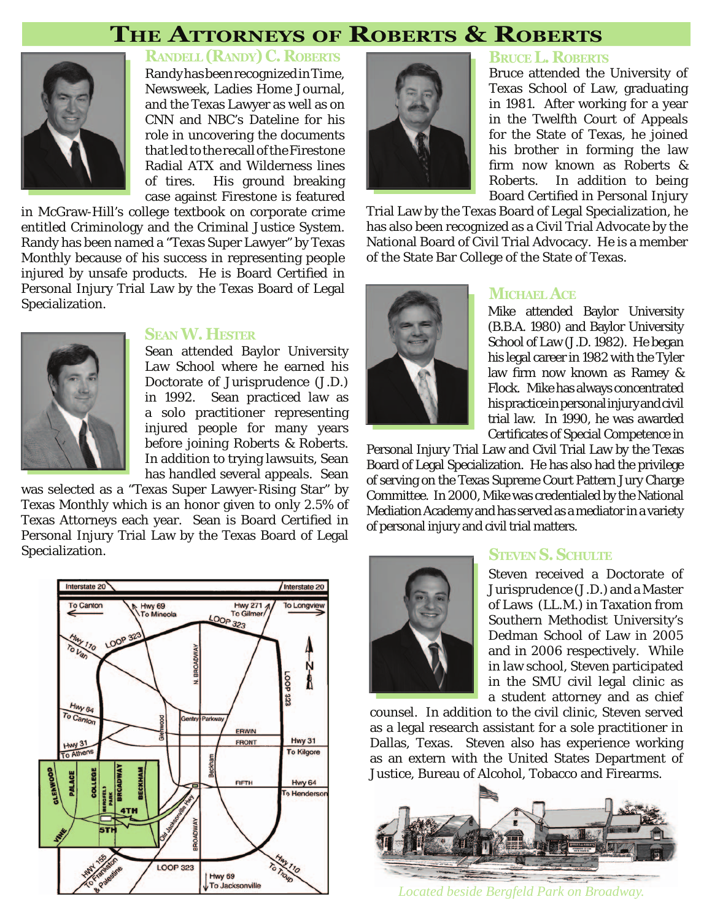# **THE ATTORNEYS OF ROBERTS & ROBERTS**



Randy has been recognized in Time, **RANDELL(RANDY) C. ROBERTS**

Newsweek, Ladies Home Journal, and the Texas Lawyer as well as on CNN and NBC's Dateline for his role in uncovering the documents that led to the recall of the Firestone Radial ATX and Wilderness lines of tires. His ground breaking case against Firestone is featured

in McGraw-Hill's college textbook on corporate crime entitled Criminology and the Criminal Justice System. Randy has been named a "Texas Super Lawyer" by Texas Monthly because of his success in representing people injured by unsafe products. He is Board Certified in Personal Injury Trial Law by the Texas Board of Legal Specialization.



#### **SEANW. HESTER**

Sean attended Baylor University Law School where he earned his Doctorate of Jurisprudence (J.D.) in 1992. Sean practiced law as a solo practitioner representing injured people for many years before joining Roberts & Roberts. In addition to trying lawsuits, Sean has handled several appeals. Sean

was selected as a "Texas Super Lawyer-Rising Star" by Texas Monthly which is an honor given to only 2.5% of Texas Attorneys each year. Sean is Board Certified in Personal Injury Trial Law by the Texas Board of Legal Specialization.





#### **BRUCEL. ROBERTS**

Bruce attended the University of Texas School of Law, graduating in 1981. After working for a year in the Twelfth Court of Appeals for the State of Texas, he joined his brother in forming the law firm now known as Roberts & Roberts. In addition to being Board Certified in Personal Injury

Trial Law by the Texas Board of Legal Specialization, he has also been recognized as a Civil Trial Advocate by the National Board of Civil Trial Advocacy. He is a member of the State Bar College of the State of Texas.



#### **MICHAEL ACE**

Mike attended Baylor University (B.B.A. 1980) and Baylor University School of Law (J.D. 1982). He began his legal career in 1982 with the Tyler law firm now known as Ramey & Flock. Mike has always concentrated his practice in personal injury and civil trial law. In 1990, he was awarded Certificates of Special Competence in

Personal Injury Trial Law and Civil Trial Law by the Texas Board of Legal Specialization. He has also had the privilege of serving on the Texas Supreme Court Pattern Jury Charge Committee. In 2000, Mike was credentialed by the National Mediation Academy and has served as a mediator in a variety of personal injury and civil trial matters.



#### **STEVEN S. SCHULTE**

Steven received a Doctorate of Jurisprudence (J.D.) and a Master of Laws (LL.M.) in Taxation from Southern Methodist University's Dedman School of Law in 2005 and in 2006 respectively. While in law school, Steven participated in the SMU civil legal clinic as a student attorney and as chief

counsel. In addition to the civil clinic, Steven served as a legal research assistant for a sole practitioner in Dallas, Texas. Steven also has experience working as an extern with the United States Department of Justice, Bureau of Alcohol, Tobacco and Firearms.



*Located beside Bergfeld Park on Broadway.*